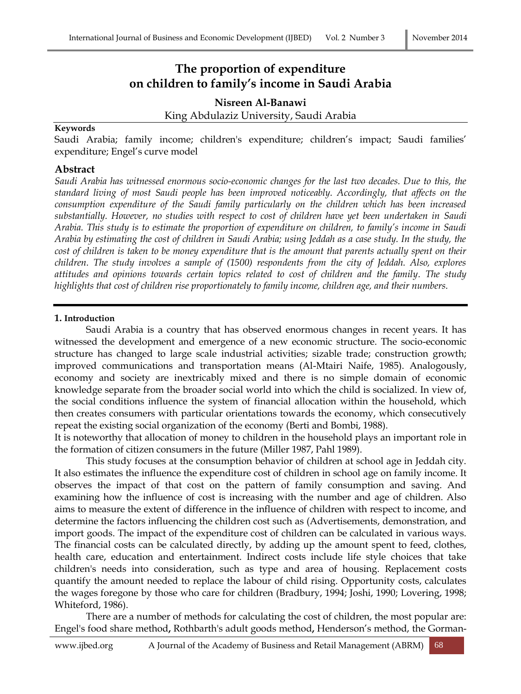# **The proportion of expenditure on children to family's income in Saudi Arabia**

**Nisreen Al-Banawi** King Abdulaziz University, Saudi Arabia

#### **Keywords**

Saudi Arabia; family income; children's expenditure; children's impact; Saudi families' expenditure; Engel's curve model

#### **Abstract**

*Saudi Arabia has witnessed enormous socio-economic changes for the last two decades. Due to this, the standard living of most Saudi people has been improved noticeably. Accordingly, that affects on the consumption expenditure of the Saudi family particularly on the children which has been increased substantially. However, no studies with respect to cost of children have yet been undertaken in Saudi Arabia. This study is to estimate the proportion of expenditure on children, to family's income in Saudi Arabia by estimating the cost of children in Saudi Arabia; using Jeddah as a case study. In the study, the cost of children is taken to be money expenditure that is the amount that parents actually spent on their children. The study involves a sample of (1500) respondents from the city of Jeddah. Also, explores attitudes and opinions towards certain topics related to cost of children and the family. The study highlights that cost of children rise proportionately to family income, children age, and their numbers.*

#### **1. Introduction**

Saudi Arabia is a country that has observed enormous changes in recent years. It has witnessed the development and emergence of a new economic structure. The socio-economic structure has changed to large scale industrial activities; sizable trade; construction growth; improved communications and transportation means (Al-Mtairi Naife, 1985). Analogously, economy and society are inextricably mixed and there is no simple domain of economic knowledge separate from the broader social world into which the child is socialized. In view of, the social conditions influence the system of financial allocation within the household, which then creates consumers with particular orientations towards the economy, which consecutively repeat the existing social organization of the economy (Berti and Bombi, 1988).

It is noteworthy that allocation of money to children in the household plays an important role in the formation of citizen consumers in the future (Miller 1987, Pahl 1989).

This study focuses at the consumption behavior of children at school age in Jeddah city. It also estimates the influence the expenditure cost of children in school age on family income. It observes the impact of that cost on the pattern of family consumption and saving. And examining how the influence of cost is increasing with the number and age of children. Also aims to measure the extent of difference in the influence of children with respect to income, and determine the factors influencing the children cost such as (Advertisements, demonstration, and import goods. The impact of the expenditure cost of children can be calculated in various ways. The financial costs can be calculated directly, by adding up the amount spent to feed, clothes, health care, education and entertainment. Indirect costs include life style choices that take children's needs into consideration, such as type and area of housing. Replacement costs quantify the amount needed to replace the labour of child rising. Opportunity costs, calculates the wages foregone by those who care for children (Bradbury, 1994; Joshi, 1990; Lovering, 1998; Whiteford, 1986).

There are a number of methods for calculating the cost of children, the most popular are: Engel's food share method**,** Rothbarth's adult goods method**,** Henderson's method, the Gorman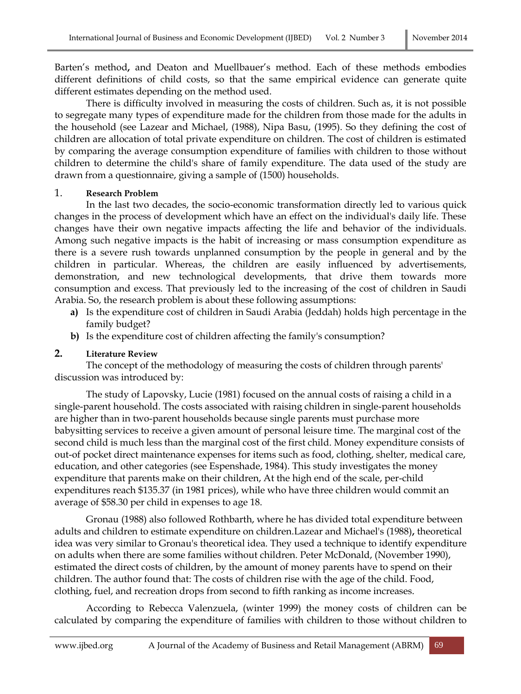Barten's method**,** and Deaton and Muellbauer's method. Each of these methods embodies different definitions of child costs, so that the same empirical evidence can generate quite different estimates depending on the method used.

There is difficulty involved in measuring the costs of children. Such as, it is not possible to segregate many types of expenditure made for the children from those made for the adults in the household (see Lazear and Michael, (1988), Nipa Basu, (1995). So they defining the cost of children are allocation of total private expenditure on children. The cost of children is estimated by comparing the average consumption expenditure of families with children to those without children to determine the child's share of family expenditure. The data used of the study are drawn from a questionnaire, giving a sample of (1500) households.

#### 1. **Research Problem**

In the last two decades, the socio-economic transformation directly led to various quick changes in the process of development which have an effect on the individual's daily life. These changes have their own negative impacts affecting the life and behavior of the individuals. Among such negative impacts is the habit of increasing or mass consumption expenditure as there is a severe rush towards unplanned consumption by the people in general and by the children in particular. Whereas, the children are easily influenced by advertisements, demonstration, and new technological developments, that drive them towards more consumption and excess. That previously led to the increasing of the cost of children in Saudi Arabia. So, the research problem is about these following assumptions:

- **a)** Is the expenditure cost of children in Saudi Arabia (Jeddah) holds high percentage in the family budget?
- **b)** Is the expenditure cost of children affecting the family's consumption?

#### **2. Literature Review**

The concept of the methodology of measuring the costs of children through parents' discussion was introduced by:

The study of Lapovsky, Lucie (1981) focused on the annual costs of raising a child in a single-parent household. The costs associated with raising children in single-parent households are higher than in two-parent households because single parents must purchase more babysitting services to receive a given amount of personal leisure time. The marginal cost of the second child is much less than the marginal cost of the first child. Money expenditure consists of out-of pocket direct maintenance expenses for items such as food, clothing, shelter, medical care, education, and other categories (see Espenshade, 1984). This study investigates the money expenditure that parents make on their children, At the high end of the scale, per-child expenditures reach \$135.37 (in 1981 prices), while who have three children would commit an average of \$58.30 per child in expenses to age 18.

Gronau (1988) also followed Rothbarth, where he has divided total expenditure between adults and children to estimate expenditure on children.Lazear and Michael's (1988)**,** theoretical idea was very similar to Gronau's theoretical idea. They used a technique to identify expenditure on adults when there are some families without children. Peter McDonald, (November 1990), estimated the direct costs of children, by the amount of money parents have to spend on their children. The author found that: The costs of children rise with the age of the child. Food, clothing, fuel, and recreation drops from second to fifth ranking as income increases.

According to Rebecca Valenzuela, (winter 1999) the money costs of children can be calculated by comparing the expenditure of families with children to those without children to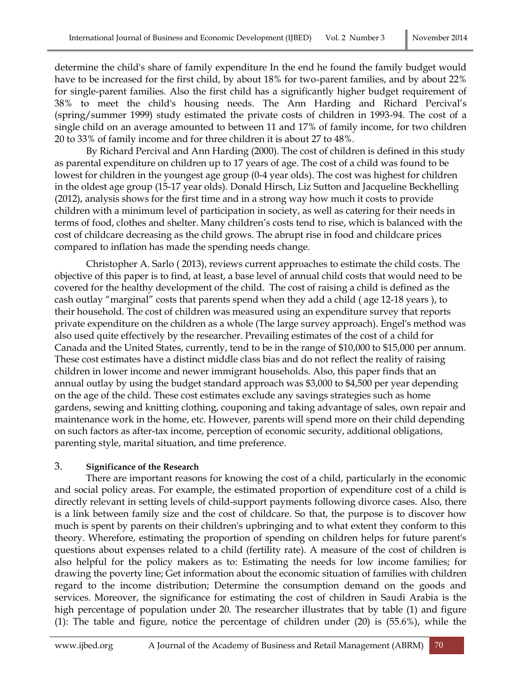determine the child's share of family expenditure In the end he found the family budget would have to be increased for the first child, by about 18% for two-parent families, and by about 22% for single-parent families. Also the first child has a significantly higher budget requirement of 38% to meet the child's housing needs. The Ann Harding and Richard Percival's (spring/summer 1999) study estimated the private costs of children in 1993-94. The cost of a single child on an average amounted to between 11 and 17% of family income, for two children 20 to 33% of family income and for three children it is about 27 to 48%.

By Richard Percival and Ann Harding (2000). The cost of children is defined in this study as parental expenditure on children up to 17 years of age. The cost of a child was found to be lowest for children in the youngest age group (0-4 year olds). The cost was highest for children in the oldest age group (15-17 year olds). Donald Hirsch, Liz Sutton and Jacqueline Beckhelling (2012), analysis shows for the first time and in a strong way how much it costs to provide children with a minimum level of participation in society, as well as catering for their needs in terms of food, clothes and shelter. Many children's costs tend to rise, which is balanced with the cost of childcare decreasing as the child grows. The abrupt rise in food and childcare prices compared to inflation has made the spending needs change.

Christopher A. Sarlo ( 2013), reviews current approaches to estimate the child costs. The objective of this paper is to find, at least, a base level of annual child costs that would need to be covered for the healthy development of the child. The cost of raising a child is defined as the cash outlay "marginal" costs that parents spend when they add a child ( age 12-18 years ), to their household. The cost of children was measured using an expenditure survey that reports private expenditure on the children as a whole (The large survey approach). Engel's method was also used quite effectively by the researcher. Prevailing estimates of the cost of a child for Canada and the United States, currently, tend to be in the range of \$10,000 to \$15,000 per annum. These cost estimates have a distinct middle class bias and do not reflect the reality of raising children in lower income and newer immigrant households. Also, this paper finds that an annual outlay by using the budget standard approach was \$3,000 to \$4,500 per year depending on the age of the child. These cost estimates exclude any savings strategies such as home gardens, sewing and knitting clothing, couponing and taking advantage of sales, own repair and maintenance work in the home, etc. However, parents will spend more on their child depending on such factors as after-tax income, perception of economic security, additional obligations, parenting style, marital situation, and time preference.

#### 3. **Significance of the Research**

There are important reasons for knowing the cost of a child, particularly in the economic and social policy areas. For example, the estimated proportion of expenditure cost of a child is directly relevant in setting levels of child-support payments following divorce cases. Also, there is a link between family size and the cost of childcare. So that, the purpose is to discover how much is spent by parents on their children's upbringing and to what extent they conform to this theory. Wherefore, estimating the proportion of spending on children helps for future parent's questions about expenses related to a child (fertility rate). A measure of the cost of children is also helpful for the policy makers as to: Estimating the needs for low income families; for drawing the poverty line; Get information about the economic situation of families with children regard to the income distribution; Determine the consumption demand on the goods and services. Moreover, the significance for estimating the cost of children in Saudi Arabia is the high percentage of population under 20. The researcher illustrates that by table (1) and figure (1): The table and figure, notice the percentage of children under (20) is (55.6%), while the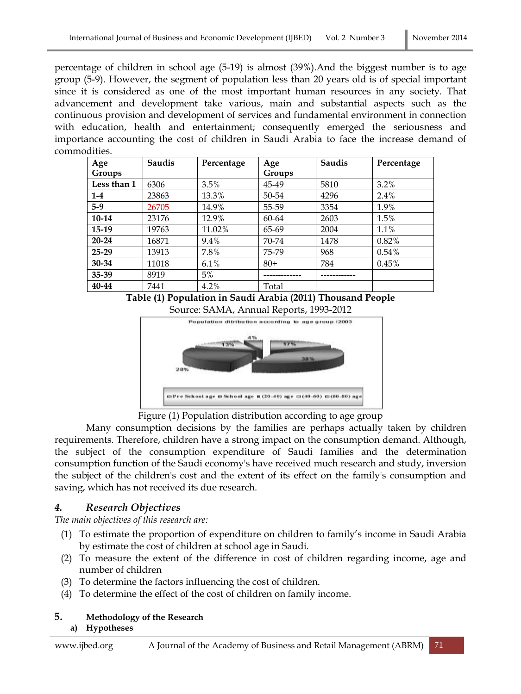percentage of children in school age (5-19) is almost (39%).And the biggest number is to age group (5-9). However, the segment of population less than 20 years old is of special important since it is considered as one of the most important human resources in any society. That advancement and development take various, main and substantial aspects such as the continuous provision and development of services and fundamental environment in connection with education, health and entertainment; consequently emerged the seriousness and importance accounting the cost of children in Saudi Arabia to face the increase demand of commodities.

| Age         | Saudis | Percentage | Age    | Saudis | Percentage |
|-------------|--------|------------|--------|--------|------------|
| Groups      |        |            | Groups |        |            |
| Less than 1 | 6306   | 3.5%       | 45-49  | 5810   | 3.2%       |
| $1-4$       | 23863  | 13.3%      | 50-54  | 4296   | 2.4%       |
| $5-9$       | 26705  | 14.9%      | 55-59  | 3354   | 1.9%       |
| 10-14       | 23176  | 12.9%      | 60-64  | 2603   | 1.5%       |
| $15-19$     | 19763  | 11.02%     | 65-69  | 2004   | 1.1%       |
| $20 - 24$   | 16871  | 9.4%       | 70-74  | 1478   | 0.82%      |
| $25 - 29$   | 13913  | 7.8%       | 75-79  | 968    | 0.54%      |
| 30-34       | 11018  | 6.1%       | $80+$  | 784    | 0.45%      |
| 35-39       | 8919   | 5%         |        |        |            |
| 40-44       | 7441   | 4.2%       | Total  |        |            |

**Table (1) Population in Saudi Arabia (2011) Thousand People** Source: SAMA, Annual Reports, 1993-2012



Figure (1) Population distribution according to age group

Many consumption decisions by the families are perhaps actually taken by children requirements. Therefore, children have a strong impact on the consumption demand. Although, the subject of the consumption expenditure of Saudi families and the determination consumption function of the Saudi economy's have received much research and study, inversion the subject of the children's cost and the extent of its effect on the family's consumption and saving, which has not received its due research.

### *4. Research Objectives*

*The main objectives of this research are:*

- (1) To estimate the proportion of expenditure on children to family's income in Saudi Arabia by estimate the cost of children at school age in Saudi.
- (2) To measure the extent of the difference in cost of children regarding income, age and number of children
- (3) To determine the factors influencing the cost of children.
- (4) To determine the effect of the cost of children on family income.

### **5. Methodology of the Research**

### **a) Hypotheses**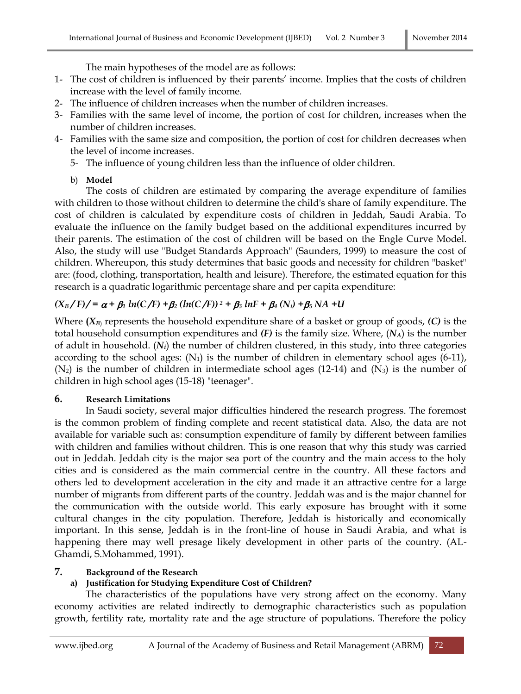The main hypotheses of the model are as follows:

- 1- The cost of children is influenced by their parents' income. Implies that the costs of children increase with the level of family income.
- 2- The influence of children increases when the number of children increases.
- 3- Families with the same level of income, the portion of cost for children, increases when the number of children increases.
- 4- Families with the same size and composition, the portion of cost for children decreases when the level of income increases.
	- 5- The influence of young children less than the influence of older children.
	- b) **Model**

The costs of children are estimated by comparing the average expenditure of families with children to those without children to determine the child's share of family expenditure. The cost of children is calculated by expenditure costs of children in Jeddah, Saudi Arabia. To evaluate the influence on the family budget based on the additional expenditures incurred by their parents. The estimation of the cost of children will be based on the Engle Curve Model. Also, the study will use "Budget Standards Approach" (Saunders, 1999) to measure the cost of children. Whereupon, this study determines that basic goods and necessity for children "basket" are: (food, clothing, transportation, health and leisure). Therefore, the estimated equation for this research is a quadratic logarithmic percentage share and per capita expenditure:

## $(X_B/F)/ = \alpha + \beta_1 ln(C/F) + \beta_2 (ln(C/F))^2 + \beta_3 lnF + \beta_4 (N_i) + \beta_5 NA + U$

Where  $(X_B)$  represents the household expenditure share of a basket or group of goods,  $(C)$  is the total household consumption expenditures and *(F)* is the family size. Where, (*NA*) is the number of adult in household. (*Ni*) the number of children clustered, in this study, into three categories according to the school ages:  $(N_1)$  is the number of children in elementary school ages (6-11),  $(N_2)$  is the number of children in intermediate school ages (12-14) and  $(N_3)$  is the number of children in high school ages (15-18) "teenager".

### **6. Research Limitations**

In Saudi society, several major difficulties hindered the research progress. The foremost is the common problem of finding complete and recent statistical data. Also, the data are not available for variable such as: consumption expenditure of family by different between families with children and families without children. This is one reason that why this study was carried out in Jeddah. Jeddah city is the major sea port of the country and the main access to the holy cities and is considered as the main commercial centre in the country. All these factors and others led to development acceleration in the city and made it an attractive centre for a large number of migrants from different parts of the country. Jeddah was and is the major channel for the communication with the outside world. This early exposure has brought with it some cultural changes in the city population. Therefore, Jeddah is historically and economically important. In this sense, Jeddah is in the front-line of house in Saudi Arabia, and what is happening there may well presage likely development in other parts of the country. (AL-Ghamdi, S.Mohammed, 1991).

### **7. Background of the Research**

### **a) Justification for Studying Expenditure Cost of Children?**

The characteristics of the populations have very strong affect on the economy. Many economy activities are related indirectly to demographic characteristics such as population growth, fertility rate, mortality rate and the age structure of populations. Therefore the policy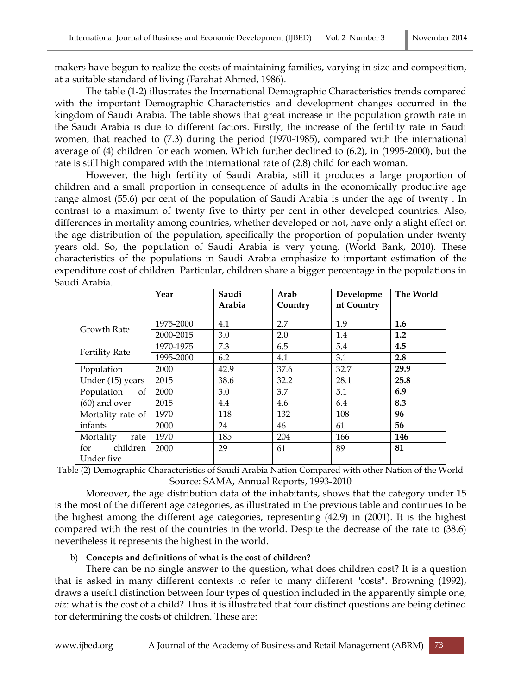makers have begun to realize the costs of maintaining families, varying in size and composition, at a suitable standard of living (Farahat Ahmed, 1986).

The table (1-2) illustrates the International Demographic Characteristics trends compared with the important Demographic Characteristics and development changes occurred in the kingdom of Saudi Arabia. The table shows that great increase in the population growth rate in the Saudi Arabia is due to different factors. Firstly, the increase of the fertility rate in Saudi women, that reached to (7.3) during the period (1970-1985), compared with the international average of (4) children for each women. Which further declined to (6.2), in (1995-2000), but the rate is still high compared with the international rate of (2.8) child for each woman.

However, the high fertility of Saudi Arabia, still it produces a large proportion of children and a small proportion in consequence of adults in the economically productive age range almost (55.6) per cent of the population of Saudi Arabia is under the age of twenty . In contrast to a maximum of twenty five to thirty per cent in other developed countries. Also, differences in mortality among countries, whether developed or not, have only a slight effect on the age distribution of the population, specifically the proportion of population under twenty years old. So, the population of Saudi Arabia is very young. (World Bank, 2010). These characteristics of the populations in Saudi Arabia emphasize to important estimation of the expenditure cost of children. Particular, children share a bigger percentage in the populations in Saudi Arabia.

|                               | Year      | Saudi<br>Arabia | Arab<br>Country | Developme<br>nt Country | The World |
|-------------------------------|-----------|-----------------|-----------------|-------------------------|-----------|
|                               |           |                 |                 |                         |           |
| <b>Growth Rate</b>            | 1975-2000 | 4.1             | 2.7             | 1.9                     | 1.6       |
|                               | 2000-2015 | 3.0             | 2.0             | 1.4                     | 1.2       |
| <b>Fertility Rate</b>         | 1970-1975 | 7.3             | 6.5             | 5.4                     | 4.5       |
|                               | 1995-2000 | 6.2             | 4.1             | 3.1                     | 2.8       |
| Population                    | 2000      | 42.9            | 37.6            | 32.7                    | 29.9      |
| Under (15) years              | 2015      | 38.6            | 32.2            | 28.1                    | 25.8      |
| Population<br>of              | 2000      | 3.0             | 3.7             | 5.1                     | 6.9       |
| $(60)$ and over               | 2015      | 4.4             | 4.6             | 6.4                     | 8.3       |
| Mortality rate of             | 1970      | 118             | 132             | 108                     | 96        |
| infants                       | 2000      | 24              | 46              | 61                      | 56        |
| Mortality<br>rate             | 1970      | 185             | 204             | 166                     | 146       |
| children<br>for<br>Under five | 2000      | 29              | 61              | 89                      | 81        |

Table (2) Demographic Characteristics of Saudi Arabia Nation Compared with other Nation of the World Source: SAMA, Annual Reports, 1993-2010

Moreover, the age distribution data of the inhabitants, shows that the category under 15 is the most of the different age categories, as illustrated in the previous table and continues to be the highest among the different age categories, representing (42.9) in (2001). It is the highest compared with the rest of the countries in the world. Despite the decrease of the rate to (38.6) nevertheless it represents the highest in the world.

#### b) **Concepts and definitions of what is the cost of children?**

There can be no single answer to the question, what does children cost? It is a question that is asked in many different contexts to refer to many different "costs". Browning (1992), draws a useful distinction between four types of question included in the apparently simple one, *viz*: what is the cost of a child? Thus it is illustrated that four distinct questions are being defined for determining the costs of children. These are: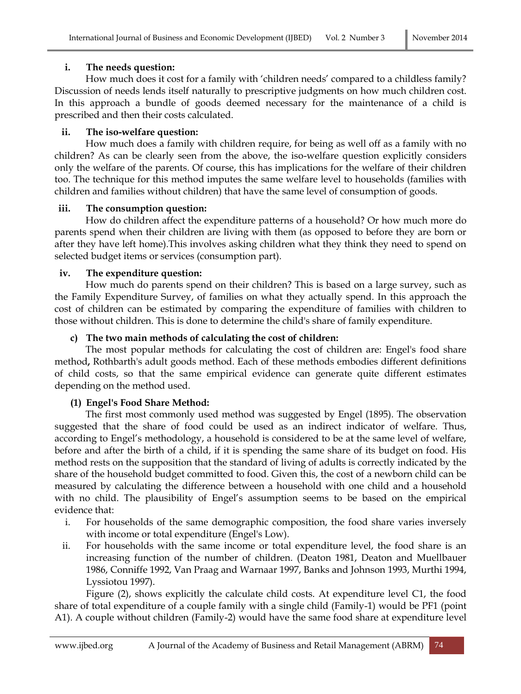### **i. The needs question:**

How much does it cost for a family with 'children needs' compared to a childless family? Discussion of needs lends itself naturally to prescriptive judgments on how much children cost. In this approach a bundle of goods deemed necessary for the maintenance of a child is prescribed and then their costs calculated.

### **ii. The iso-welfare question:**

How much does a family with children require, for being as well off as a family with no children? As can be clearly seen from the above, the iso-welfare question explicitly considers only the welfare of the parents. Of course, this has implications for the welfare of their children too. The technique for this method imputes the same welfare level to households (families with children and families without children) that have the same level of consumption of goods.

### **iii. The consumption question:**

How do children affect the expenditure patterns of a household? Or how much more do parents spend when their children are living with them (as opposed to before they are born or after they have left home).This involves asking children what they think they need to spend on selected budget items or services (consumption part).

### **iv. The expenditure question:**

How much do parents spend on their children? This is based on a large survey, such as the Family Expenditure Survey, of families on what they actually spend. In this approach the cost of children can be estimated by comparing the expenditure of families with children to those without children. This is done to determine the child's share of family expenditure.

### **c) The two main methods of calculating the cost of children:**

The most popular methods for calculating the cost of children are: Engel's food share method**,** Rothbarth's adult goods method. Each of these methods embodies different definitions of child costs, so that the same empirical evidence can generate quite different estimates depending on the method used.

### **(1) Engel's Food Share Method:**

The first most commonly used method was suggested by Engel (1895). The observation suggested that the share of food could be used as an indirect indicator of welfare. Thus, according to Engel's methodology, a household is considered to be at the same level of welfare, before and after the birth of a child, if it is spending the same share of its budget on food. His method rests on the supposition that the standard of living of adults is correctly indicated by the share of the household budget committed to food. Given this, the cost of a newborn child can be measured by calculating the difference between a household with one child and a household with no child. The plausibility of Engel's assumption seems to be based on the empirical evidence that:

- i. For households of the same demographic composition, the food share varies inversely with income or total expenditure (Engel's Low).
- ii. For households with the same income or total expenditure level, the food share is an increasing function of the number of children. (Deaton 1981, Deaton and Muellbauer 1986, Conniffe 1992, Van Praag and Warnaar 1997, Banks and Johnson 1993, Murthi 1994, Lyssiotou 1997).

Figure (2), shows explicitly the calculate child costs. At expenditure level C1, the food share of total expenditure of a couple family with a single child (Family-1) would be PF1 (point A1). A couple without children (Family-2) would have the same food share at expenditure level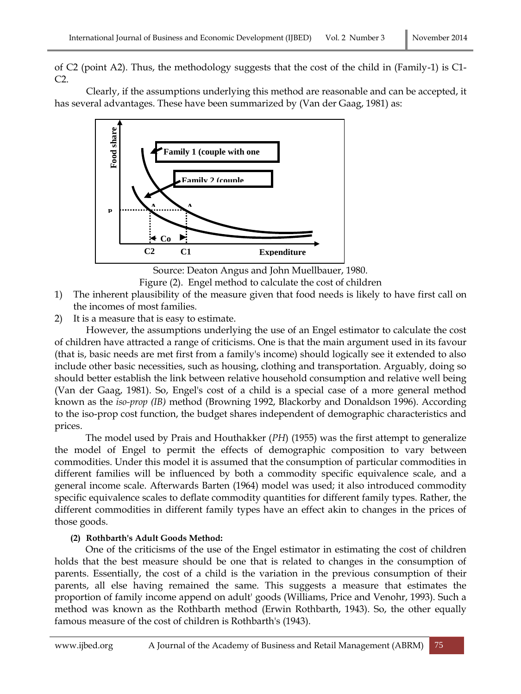of C2 (point A2). Thus, the methodology suggests that the cost of the child in (Family-1) is C1- C2.

Clearly, if the assumptions underlying this method are reasonable and can be accepted, it has several advantages. These have been summarized by (Van der Gaag, 1981) as:



Source: Deaton Angus and John Muellbauer, 1980.

Figure (2). Engel method to calculate the cost of children

1) The inherent plausibility of the measure given that food needs is likely to have first call on the incomes of most families.

2) It is a measure that is easy to estimate.

However, the assumptions underlying the use of an Engel estimator to calculate the cost of children have attracted a range of criticisms. One is that the main argument used in its favour (that is, basic needs are met first from a family's income) should logically see it extended to also include other basic necessities, such as housing, clothing and transportation. Arguably, doing so should better establish the link between relative household consumption and relative well being (Van der Gaag, 1981). So, Engel's cost of a child is a special case of a more general method known as the *iso-prop (IB)* method (Browning 1992, Blackorby and Donaldson 1996). According to the iso-prop cost function, the budget shares independent of demographic characteristics and prices.

The model used by Prais and Houthakker (*PH*) (1955) was the first attempt to generalize the model of Engel to permit the effects of demographic composition to vary between commodities. Under this model it is assumed that the consumption of particular commodities in different families will be influenced by both a commodity specific equivalence scale, and a general income scale. Afterwards Barten (1964) model was used; it also introduced commodity specific equivalence scales to deflate commodity quantities for different family types. Rather, the different commodities in different family types have an effect akin to changes in the prices of those goods.

### **(2) Rothbarth's Adult Goods Method:**

One of the criticisms of the use of the Engel estimator in estimating the cost of children holds that the best measure should be one that is related to changes in the consumption of parents. Essentially, the cost of a child is the variation in the previous consumption of their parents, all else having remained the same. This suggests a measure that estimates the proportion of family income append on adult' goods (Williams, Price and Venohr, 1993). Such a method was known as the Rothbarth method (Erwin Rothbarth, 1943). So, the other equally famous measure of the cost of children is Rothbarth's (1943).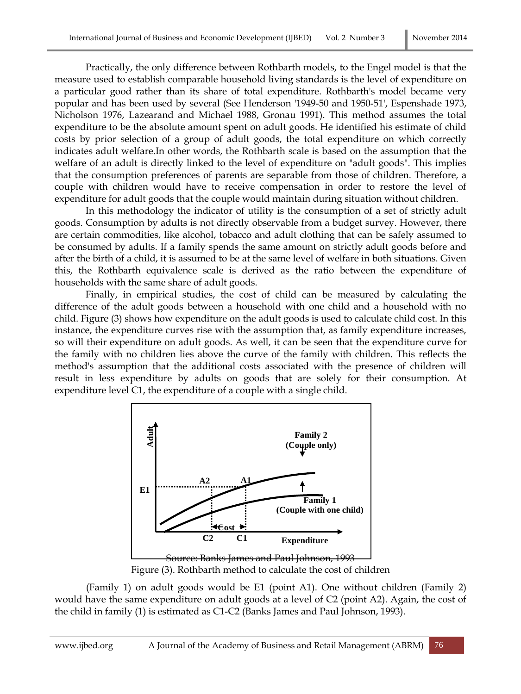Practically, the only difference between Rothbarth models, to the Engel model is that the measure used to establish comparable household living standards is the level of expenditure on a particular good rather than its share of total expenditure. Rothbarth's model became very popular and has been used by several (See Henderson '1949-50 and 1950-51', Espenshade 1973, Nicholson 1976, Lazearand and Michael 1988, Gronau 1991). This method assumes the total expenditure to be the absolute amount spent on adult goods. He identified his estimate of child costs by prior selection of a group of adult goods, the total expenditure on which correctly indicates adult welfare.In other words, the Rothbarth scale is based on the assumption that the welfare of an adult is directly linked to the level of expenditure on "adult goods". This implies that the consumption preferences of parents are separable from those of children. Therefore, a couple with children would have to receive compensation in order to restore the level of expenditure for adult goods that the couple would maintain during situation without children.

In this methodology the indicator of utility is the consumption of a set of strictly adult goods. Consumption by adults is not directly observable from a budget survey. However, there are certain commodities, like alcohol, tobacco and adult clothing that can be safely assumed to be consumed by adults. If a family spends the same amount on strictly adult goods before and after the birth of a child, it is assumed to be at the same level of welfare in both situations. Given this, the Rothbarth equivalence scale is derived as the ratio between the expenditure of households with the same share of adult goods.

Finally, in empirical studies, the cost of child can be measured by calculating the difference of the adult goods between a household with one child and a household with no child. Figure (3) shows how expenditure on the adult goods is used to calculate child cost. In this instance, the expenditure curves rise with the assumption that, as family expenditure increases, so will their expenditure on adult goods. As well, it can be seen that the expenditure curve for the family with no children lies above the curve of the family with children. This reflects the method's assumption that the additional costs associated with the presence of children will result in less expenditure by adults on goods that are solely for their consumption. At expenditure level C1, the expenditure of a couple with a single child.



Figure (3). Rothbarth method to calculate the cost of children

(Family 1) on adult goods would be E1 (point A1). One without children (Family 2) would have the same expenditure on adult goods at a level of C2 (point A2). Again, the cost of the child in family (1) is estimated as C1-C2 (Banks James and Paul Johnson, 1993).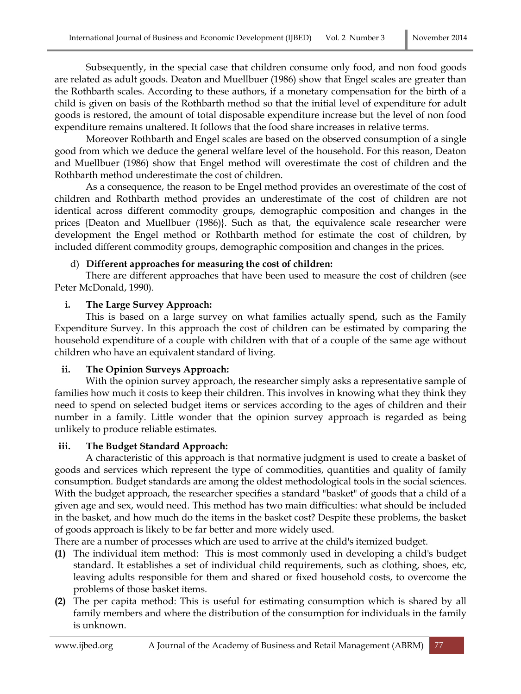Subsequently, in the special case that children consume only food, and non food goods are related as adult goods. Deaton and Muellbuer (1986) show that Engel scales are greater than the Rothbarth scales. According to these authors, if a monetary compensation for the birth of a child is given on basis of the Rothbarth method so that the initial level of expenditure for adult goods is restored, the amount of total disposable expenditure increase but the level of non food expenditure remains unaltered. It follows that the food share increases in relative terms.

Moreover Rothbarth and Engel scales are based on the observed consumption of a single good from which we deduce the general welfare level of the household. For this reason, Deaton and Muellbuer (1986) show that Engel method will overestimate the cost of children and the Rothbarth method underestimate the cost of children.

As a consequence, the reason to be Engel method provides an overestimate of the cost of children and Rothbarth method provides an underestimate of the cost of children are not identical across different commodity groups, demographic composition and changes in the prices {Deaton and Muellbuer (1986)}. Such as that, the equivalence scale researcher were development the Engel method or Rothbarth method for estimate the cost of children, by included different commodity groups, demographic composition and changes in the prices.

#### d) **Different approaches for measuring the cost of children:**

There are different approaches that have been used to measure the cost of children (see Peter McDonald, 1990).

#### **i. The Large Survey Approach:**

This is based on a large survey on what families actually spend, such as the Family Expenditure Survey. In this approach the cost of children can be estimated by comparing the household expenditure of a couple with children with that of a couple of the same age without children who have an equivalent standard of living.

### **ii. The Opinion Surveys Approach:**

With the opinion survey approach, the researcher simply asks a representative sample of families how much it costs to keep their children. This involves in knowing what they think they need to spend on selected budget items or services according to the ages of children and their number in a family. Little wonder that the opinion survey approach is regarded as being unlikely to produce reliable estimates.

### **iii. The Budget Standard Approach:**

A characteristic of this approach is that normative judgment is used to create a basket of goods and services which represent the type of commodities, quantities and quality of family consumption. Budget standards are among the oldest methodological tools in the social sciences. With the budget approach, the researcher specifies a standard "basket" of goods that a child of a given age and sex, would need. This method has two main difficulties: what should be included in the basket, and how much do the items in the basket cost? Despite these problems, the basket of goods approach is likely to be far better and more widely used.

There are a number of processes which are used to arrive at the child's itemized budget.

- **(1)** The individual item method: This is most commonly used in developing a child's budget standard. It establishes a set of individual child requirements, such as clothing, shoes, etc, leaving adults responsible for them and shared or fixed household costs, to overcome the problems of those basket items.
- **(2)** The per capita method: This is useful for estimating consumption which is shared by all family members and where the distribution of the consumption for individuals in the family is unknown.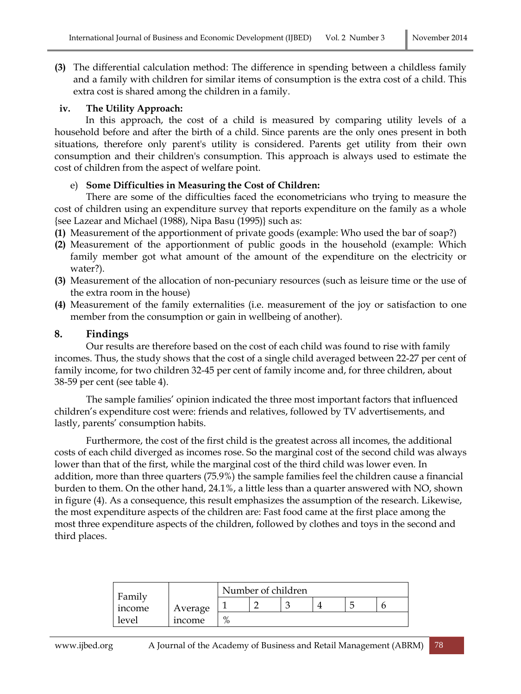**(3)** The differential calculation method: The difference in spending between a childless family and a family with children for similar items of consumption is the extra cost of a child. This extra cost is shared among the children in a family.

#### **iv. The Utility Approach:**

In this approach, the cost of a child is measured by comparing utility levels of a household before and after the birth of a child. Since parents are the only ones present in both situations, therefore only parent's utility is considered. Parents get utility from their own consumption and their children's consumption. This approach is always used to estimate the cost of children from the aspect of welfare point.

#### e) **Some Difficulties in Measuring the Cost of Children:**

There are some of the difficulties faced the econometricians who trying to measure the cost of children using an expenditure survey that reports expenditure on the family as a whole {see Lazear and Michael (1988), Nipa Basu (1995)} such as:

- **(1)** Measurement of the apportionment of private goods (example: Who used the bar of soap?)
- **(2)** Measurement of the apportionment of public goods in the household (example: Which family member got what amount of the amount of the expenditure on the electricity or water?).
- **(3)** Measurement of the allocation of non-pecuniary resources (such as leisure time or the use of the extra room in the house)
- **(4)** Measurement of the family externalities (i.e. measurement of the joy or satisfaction to one member from the consumption or gain in wellbeing of another).

#### **8. Findings**

Our results are therefore based on the cost of each child was found to rise with family incomes. Thus, the study shows that the cost of a single child averaged between 22-27 per cent of family income, for two children 32-45 per cent of family income and, for three children, about 38-59 per cent (see table 4).

The sample families' opinion indicated the three most important factors that influenced children's expenditure cost were: friends and relatives, followed by TV advertisements, and lastly, parents' consumption habits.

Furthermore, the cost of the first child is the greatest across all incomes, the additional costs of each child diverged as incomes rose. So the marginal cost of the second child was always lower than that of the first, while the marginal cost of the third child was lower even. In addition, more than three quarters (75.9%) the sample families feel the children cause a financial burden to them. On the other hand, 24.1%, a little less than a quarter answered with NO, shown in figure (4). As a consequence, this result emphasizes the assumption of the research. Likewise, the most expenditure aspects of the children are: Fast food came at the first place among the most three expenditure aspects of the children, followed by clothes and toys in the second and third places.

| Family |              | Number of children  |  |  |  |  |  |  |
|--------|--------------|---------------------|--|--|--|--|--|--|
| mcome  | Average      |                     |  |  |  |  |  |  |
| level  | <i>ncome</i> | $\mathbf{O}/$<br>7ο |  |  |  |  |  |  |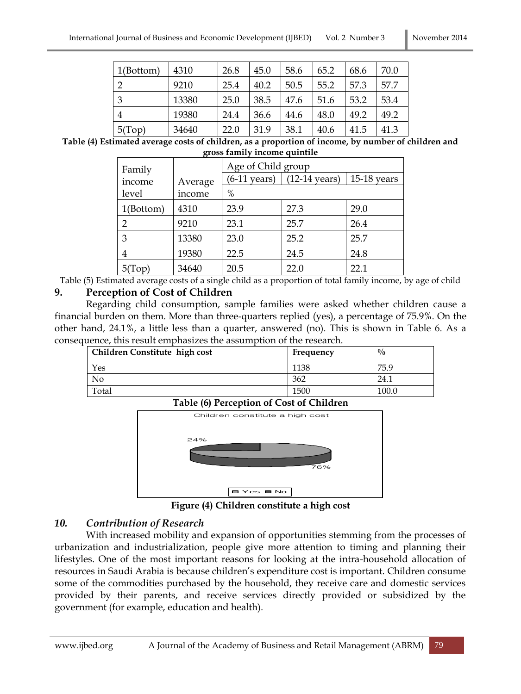| 1(Bottom)      | 4310  | 26.8 | 45.0 | 58.6 | 65.2 | 68.6 | 70.0 |
|----------------|-------|------|------|------|------|------|------|
| າ              | 9210  | 25.4 | 40.2 | 50.5 | 55.2 | 57.3 | 57.7 |
| 3              | 13380 | 25.0 | 38.5 | 47.6 | 51.6 | 53.2 | 53.4 |
| $\overline{4}$ | 19380 | 24.4 | 36.6 | 44.6 | 48.0 | 49.2 | 49.2 |
| 5(Top)         | 34640 | 22.0 | 31.9 | 38.1 | 40.6 | 41.5 | 41.3 |

**Table (4) Estimated average costs of children, as a proportion of income, by number of children and gross family income quintile**

| Family    |         |                        | Age of Child group      |               |  |  |
|-----------|---------|------------------------|-------------------------|---------------|--|--|
| income    | Average | $(6-11 \text{ years})$ | $(12-14 \text{ years})$ | $15-18$ years |  |  |
| level     | income  | $\%$                   |                         |               |  |  |
| 1(Bottom) | 4310    | 23.9                   | 27.3                    | 29.0          |  |  |
| 2         | 9210    | 23.1                   | 25.7                    | 26.4          |  |  |
| 3         | 13380   | 23.0                   | 25.2                    | 25.7          |  |  |
| 4         | 19380   | 22.5                   | 24.5                    | 24.8          |  |  |
| 5(Top)    | 34640   | 20.5                   | 22.0                    | 22.1          |  |  |

Table (5) Estimated average costs of a single child as a proportion of total family income, by age of child **9. Perception of Cost of Children**

Regarding child consumption, sample families were asked whether children cause a financial burden on them. More than three-quarters replied (yes), a percentage of 75.9%. On the other hand, 24.1%, a little less than a quarter, answered (no). This is shown in Table 6. As a consequence, this result emphasizes the assumption of the research.

| <b>Children Constitute high cost</b> | Frequency | $\frac{0}{0}$ |
|--------------------------------------|-----------|---------------|
| Yes                                  | 1138      | 75.9          |
| No                                   | 362       | 24.1          |
| Total                                | 1500      | 100.0         |





**Figure (4) Children constitute a high cost**

### *10. Contribution of Research*

With increased mobility and expansion of opportunities stemming from the processes of urbanization and industrialization, people give more attention to timing and planning their lifestyles. One of the most important reasons for looking at the intra-household allocation of resources in Saudi Arabia is because children's expenditure cost is important. Children consume some of the commodities purchased by the household, they receive care and domestic services provided by their parents, and receive services directly provided or subsidized by the government (for example, education and health).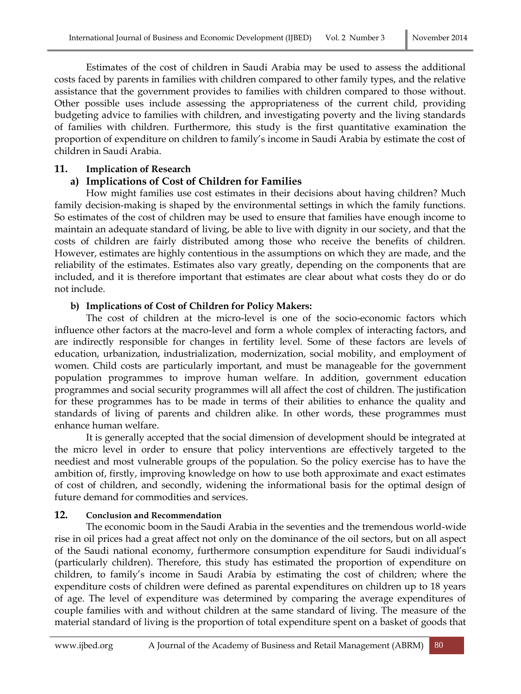Estimates of the cost of children in Saudi Arabia may be used to assess the additional costs faced by parents in families with children compared to other family types, and the relative assistance that the government provides to families with children compared to those without. Other possible uses include assessing the appropriateness of the current child, providing budgeting advice to families with children, and investigating poverty and the living standards of families with children. Furthermore, this study is the first quantitative examination the proportion of expenditure on children to family's income in Saudi Arabia by estimate the cost of children in Saudi Arabia.

#### **11. Implication of Research**

### **a) Implications of Cost of Children for Families**

How might families use cost estimates in their decisions about having children? Much family decision-making is shaped by the environmental settings in which the family functions. So estimates of the cost of children may be used to ensure that families have enough income to maintain an adequate standard of living, be able to live with dignity in our society, and that the costs of children are fairly distributed among those who receive the benefits of children. However, estimates are highly contentious in the assumptions on which they are made, and the reliability of the estimates. Estimates also vary greatly, depending on the components that are included, and it is therefore important that estimates are clear about what costs they do or do not include.

#### **b) Implications of Cost of Children for Policy Makers:**

The cost of children at the micro-level is one of the socio-economic factors which influence other factors at the macro-level and form a whole complex of interacting factors, and are indirectly responsible for changes in fertility level. Some of these factors are levels of education, urbanization, industrialization, modernization, social mobility, and employment of women. Child costs are particularly important, and must be manageable for the government population programmes to improve human welfare. In addition, government education programmes and social security programmes will all affect the cost of children. The justification for these programmes has to be made in terms of their abilities to enhance the quality and standards of living of parents and children alike. In other words, these programmes must enhance human welfare.

It is generally accepted that the social dimension of development should be integrated at the micro level in order to ensure that policy interventions are effectively targeted to the neediest and most vulnerable groups of the population. So the policy exercise has to have the ambition of, firstly, improving knowledge on how to use both approximate and exact estimates of cost of children, and secondly, widening the informational basis for the optimal design of future demand for commodities and services.

#### **12. Conclusion and Recommendation**

The economic boom in the Saudi Arabia in the seventies and the tremendous world-wide rise in oil prices had a great affect not only on the dominance of the oil sectors, but on all aspect of the Saudi national economy, furthermore consumption expenditure for Saudi individual's (particularly children). Therefore, this study has estimated the proportion of expenditure on children, to family's income in Saudi Arabia by estimating the cost of children; where the expenditure costs of children were defined as parental expenditures on children up to 18 years of age. The level of expenditure was determined by comparing the average expenditures of couple families with and without children at the same standard of living. The measure of the material standard of living is the proportion of total expenditure spent on a basket of goods that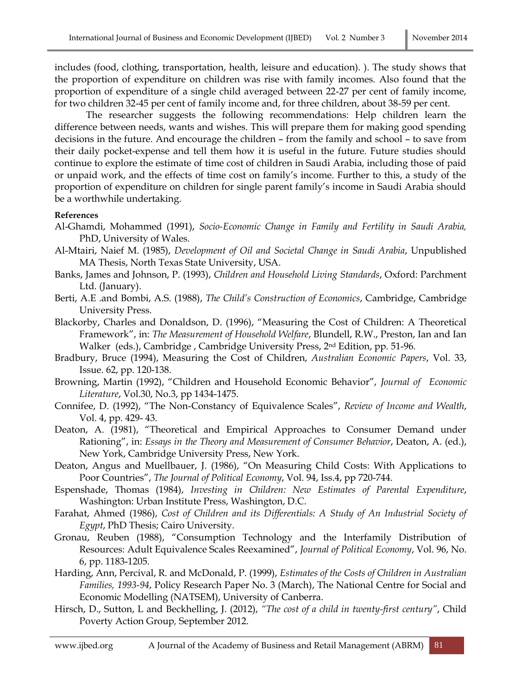includes (food, clothing, transportation, health, leisure and education). ). The study shows that the proportion of expenditure on children was rise with family incomes. Also found that the proportion of expenditure of a single child averaged between 22-27 per cent of family income, for two children 32-45 per cent of family income and, for three children, about 38-59 per cent.

The researcher suggests the following recommendations: Help children learn the difference between needs, wants and wishes. This will prepare them for making good spending decisions in the future. And encourage the children – from the family and school – to save from their daily pocket-expense and tell them how it is useful in the future. Future studies should continue to explore the estimate of time cost of children in Saudi Arabia, including those of paid or unpaid work, and the effects of time cost on family's income. Further to this, a study of the proportion of expenditure on children for single parent family's income in Saudi Arabia should be a worthwhile undertaking.

#### **References**

- Al-Ghamdi, Mohammed (1991), *Socio-Economic Change in Family and Fertility in Saudi Arabia,* PhD, University of Wales.
- Al-Mtairi, Naief M. (1985), *Development of Oil and Societal Change in Saudi Arabia*, Unpublished MA Thesis, North Texas State University, USA.
- Banks, James and Johnson, P. (1993), *Children and Household Living Standards*, Oxford: Parchment Ltd. (January).
- Berti, A.E .and Bombi, A.S. (1988), *The Child's Construction of Economics*, Cambridge, Cambridge University Press.
- Blackorby, Charles and Donaldson, D. (1996), "Measuring the Cost of Children: A Theoretical Framework", in: *The Measurement of Household Welfare*, Blundell, R.W., Preston, Ian and Ian Walker (eds.), Cambridge , Cambridge University Press, 2nd Edition, pp. 51-96.
- Bradbury, Bruce (1994), Measuring the Cost of Children, *Australian Economic Papers*, Vol. 33, Issue. 62, pp. 120-138.
- Browning, Martin (1992), "Children and Household Economic Behavior", *Journal of Economic Literature*, Vol.30, No.3, pp 1434-1475.
- Connifee, D. (1992), "The Non-Constancy of Equivalence Scales", *Review of Income and Wealth*, Vol. 4, pp. 429- 43.
- Deaton, A. (1981), "Theoretical and Empirical Approaches to Consumer Demand under Rationing", in: *Essays in the Theory and Measurement of Consumer Behavior*, Deaton, A. (ed.), New York, Cambridge University Press, New York.
- Deaton, Angus and Muellbauer, J. (1986), "On Measuring Child Costs: With Applications to Poor Countries", *The Journal of Political Economy*, Vol. 94, Iss.4, pp 720-744.
- Espenshade, Thomas (1984), *Investing in Children: New Estimates of Parental Expenditure*, Washington: Urban Institute Press, Washington, D.C.
- Farahat, Ahmed (1986), *Cost of Children and its Differentials: A Study of An Industrial Society of Egypt*, PhD Thesis; Cairo University.
- Gronau, Reuben (1988), "Consumption Technology and the Interfamily Distribution of Resources: Adult Equivalence Scales Reexamined", *Journal of Political Economy*, Vol. 96, No. 6, pp. 1183-1205.
- Harding, Ann, Percival, R. and McDonald, P. (1999), *Estimates of the Costs of Children in Australian Families, 1993-94*, Policy Research Paper No. 3 (March), The National Centre for Social and Economic Modelling (NATSEM), University of Canberra.
- Hirsch, D., Sutton, L and Beckhelling, J. (2012), *"The cost of a child in twenty-first century"*, Child Poverty Action Group*,* September 2012.